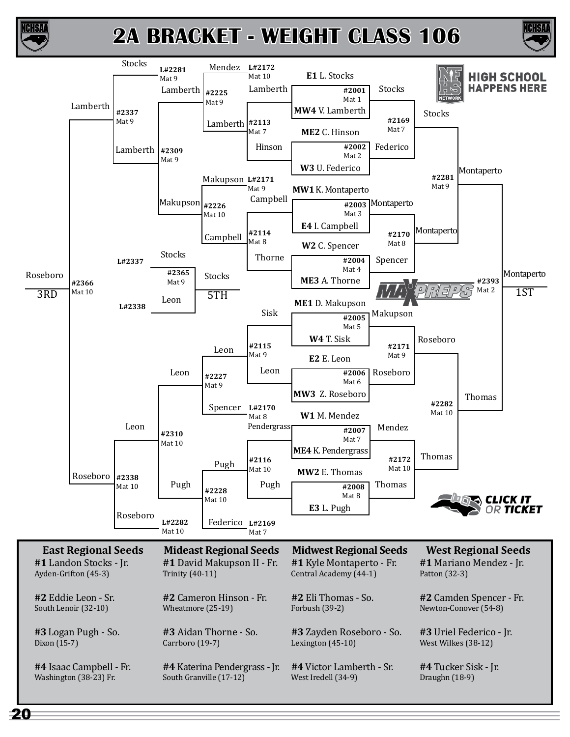



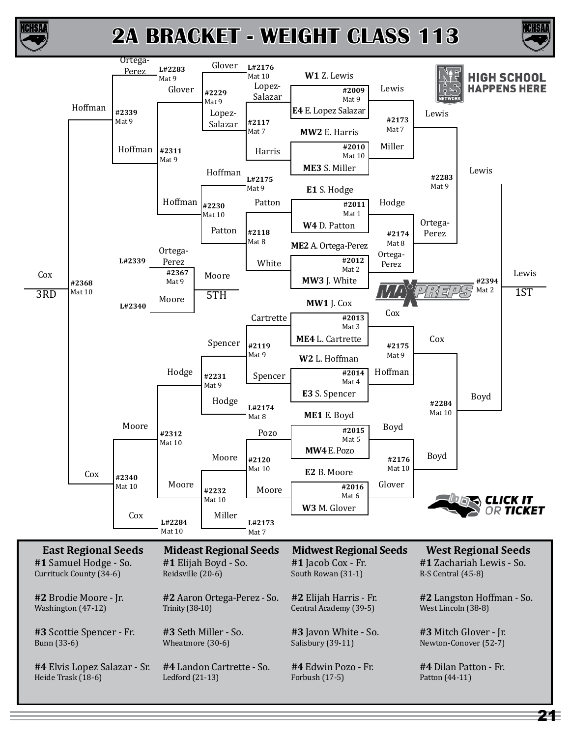



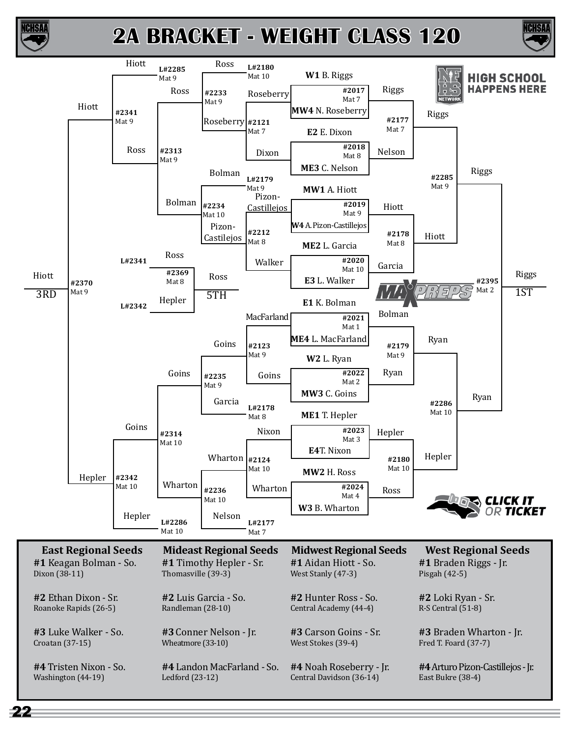

ICHSAA

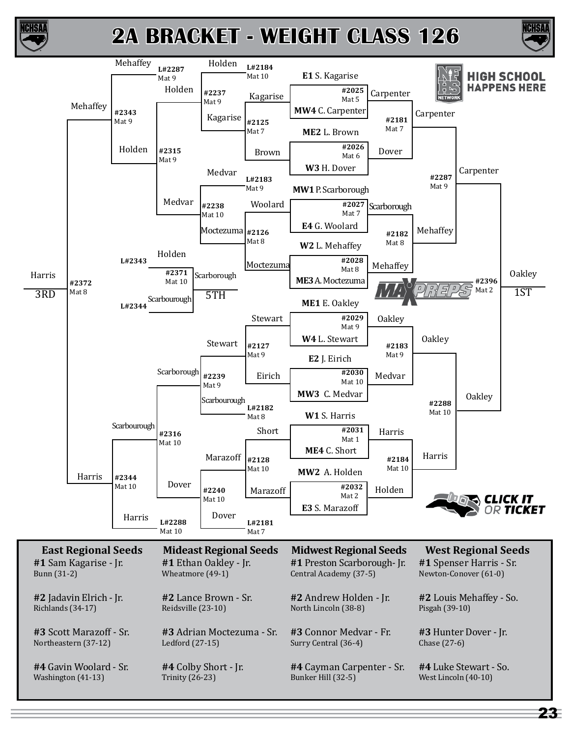



ICHSA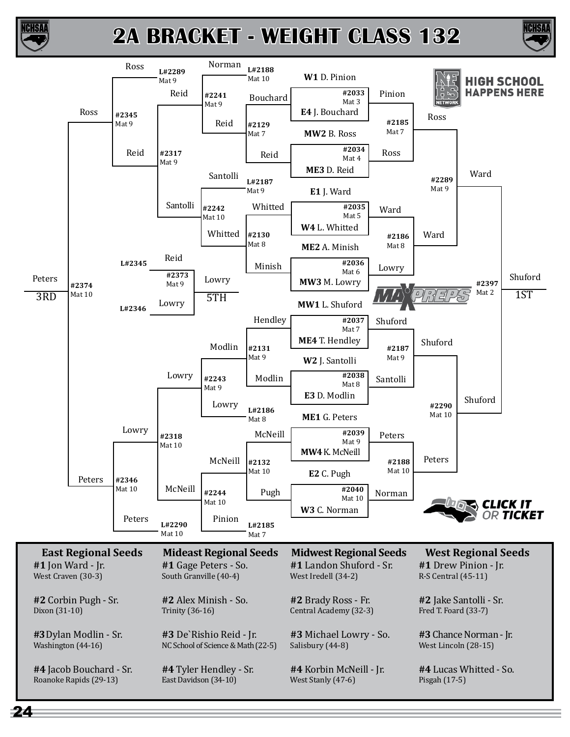



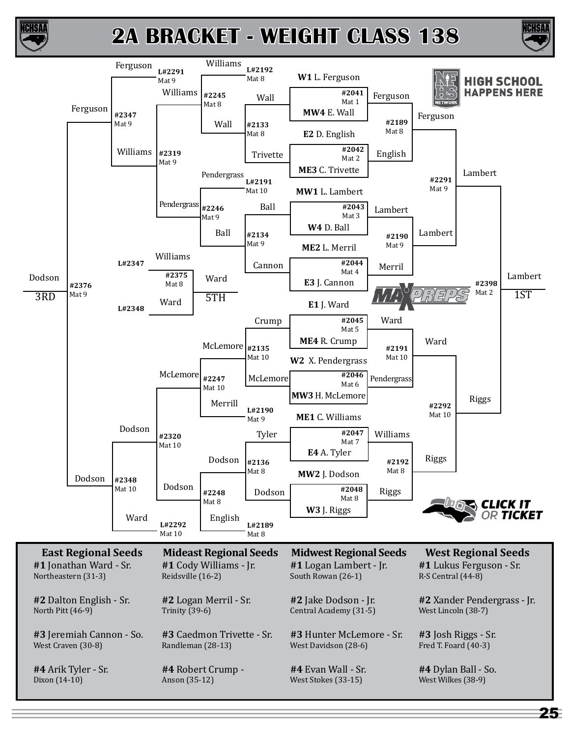



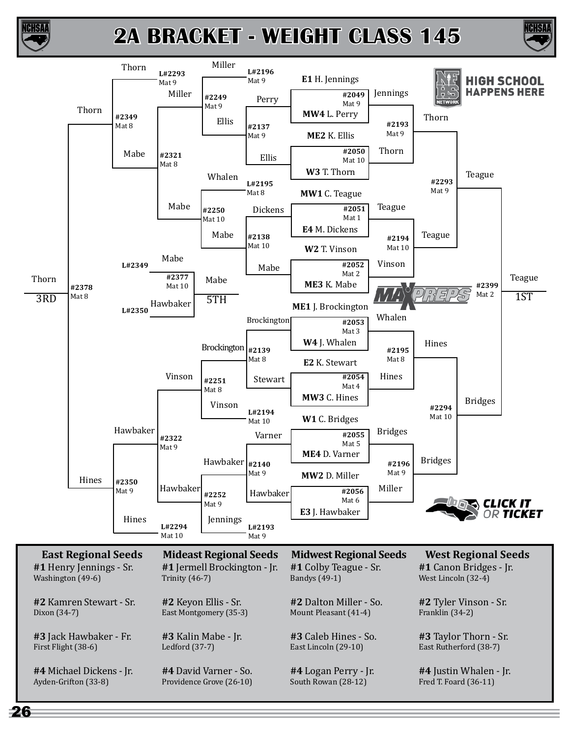

26



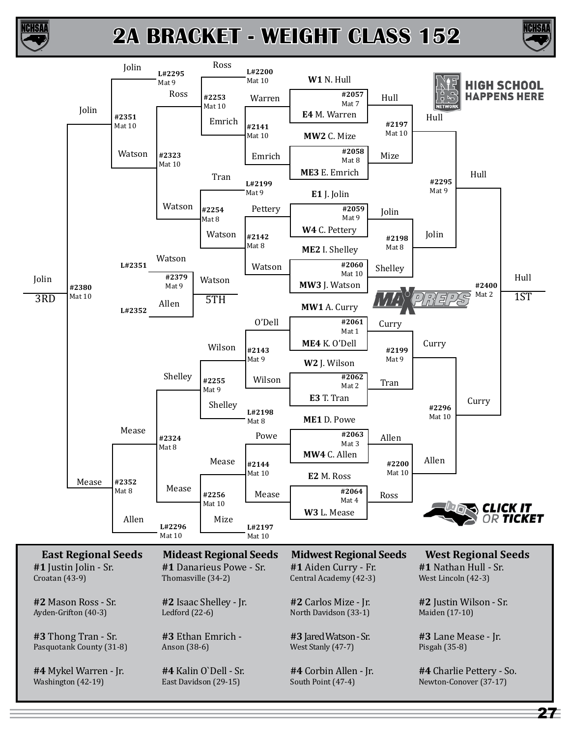



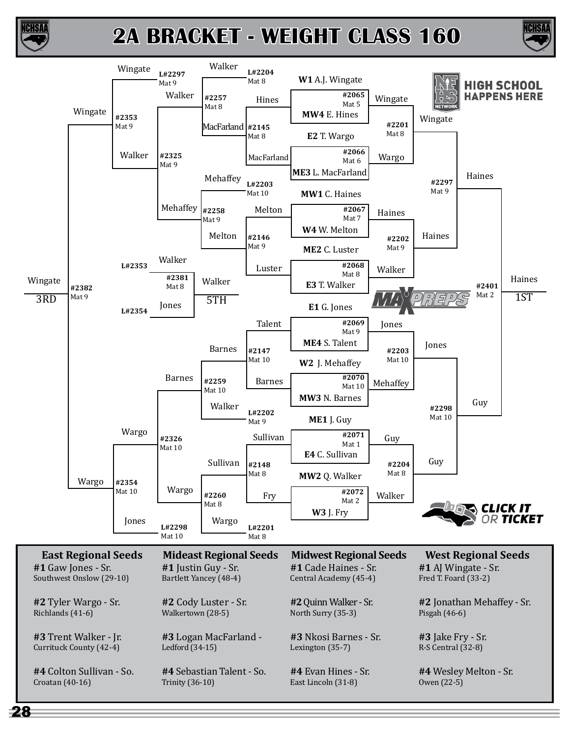

ICHSA



28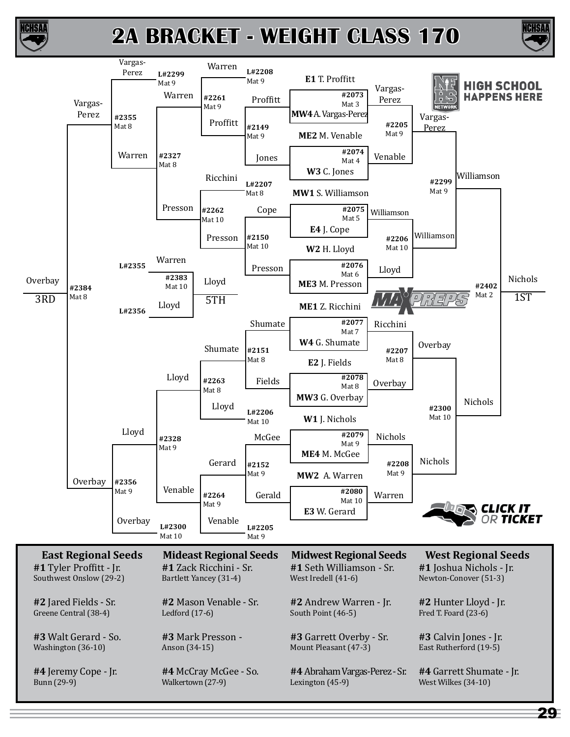





29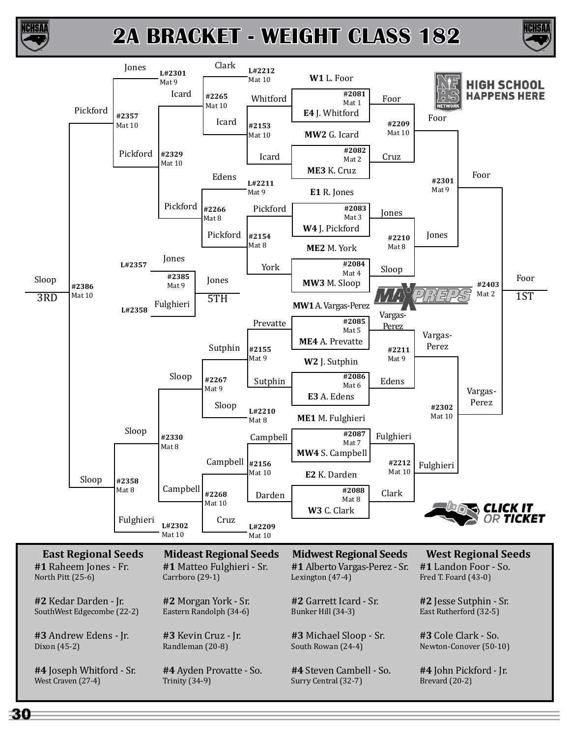

ICHSA

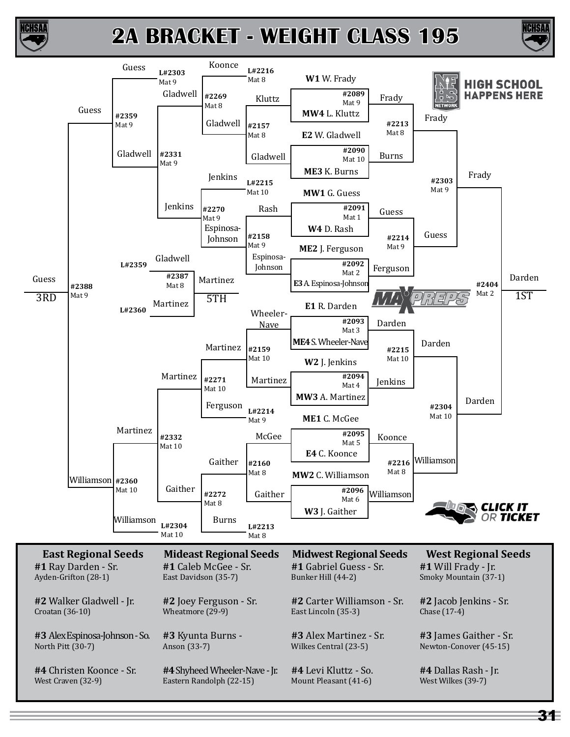



CHSA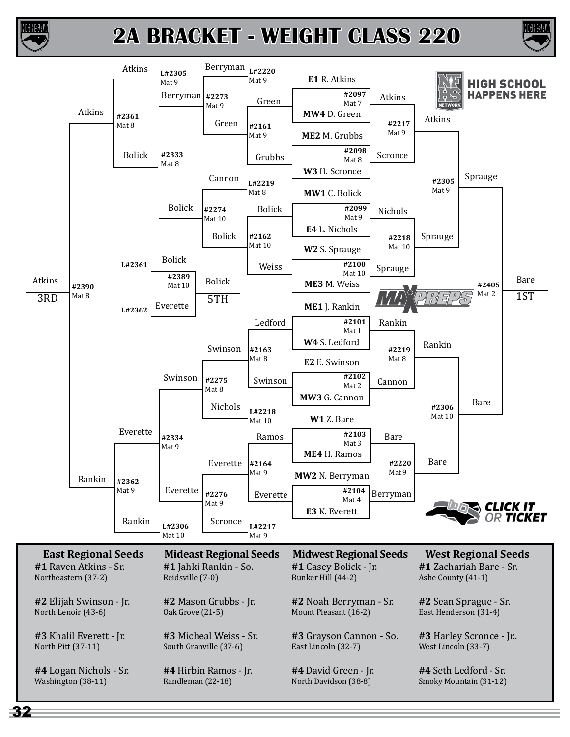